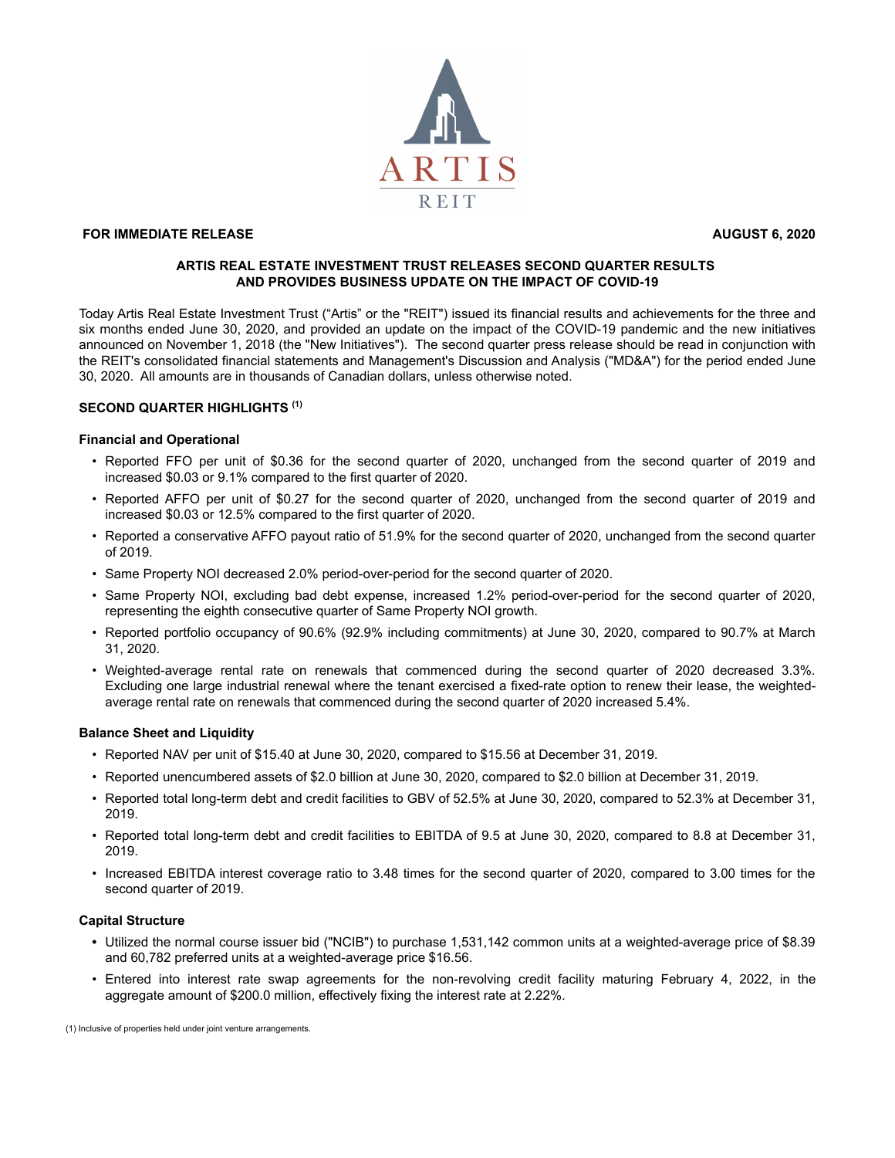

# **FOR IMMEDIATE RELEASE AUGUST 6, 2020**

## **ARTIS REAL ESTATE INVESTMENT TRUST RELEASES SECOND QUARTER RESULTS AND PROVIDES BUSINESS UPDATE ON THE IMPACT OF COVID-19**

Today Artis Real Estate Investment Trust ("Artis" or the "REIT") issued its financial results and achievements for the three and six months ended June 30, 2020, and provided an update on the impact of the COVID-19 pandemic and the new initiatives announced on November 1, 2018 (the "New Initiatives"). The second quarter press release should be read in conjunction with the REIT's consolidated financial statements and Management's Discussion and Analysis ("MD&A") for the period ended June 30, 2020. All amounts are in thousands of Canadian dollars, unless otherwise noted.

## **SECOND QUARTER HIGHLIGHTS (1)**

## **Financial and Operational**

- Reported FFO per unit of \$0.36 for the second quarter of 2020, unchanged from the second quarter of 2019 and increased \$0.03 or 9.1% compared to the first quarter of 2020.
- Reported AFFO per unit of \$0.27 for the second quarter of 2020, unchanged from the second quarter of 2019 and increased \$0.03 or 12.5% compared to the first quarter of 2020.
- Reported a conservative AFFO payout ratio of 51.9% for the second quarter of 2020, unchanged from the second quarter of 2019.
- Same Property NOI decreased 2.0% period-over-period for the second quarter of 2020.
- Same Property NOI, excluding bad debt expense, increased 1.2% period-over-period for the second quarter of 2020, representing the eighth consecutive quarter of Same Property NOI growth.
- Reported portfolio occupancy of 90.6% (92.9% including commitments) at June 30, 2020, compared to 90.7% at March 31, 2020.
- Weighted-average rental rate on renewals that commenced during the second quarter of 2020 decreased 3.3%. Excluding one large industrial renewal where the tenant exercised a fixed-rate option to renew their lease, the weightedaverage rental rate on renewals that commenced during the second quarter of 2020 increased 5.4%.

# **Balance Sheet and Liquidity**

- Reported NAV per unit of \$15.40 at June 30, 2020, compared to \$15.56 at December 31, 2019.
- Reported unencumbered assets of \$2.0 billion at June 30, 2020, compared to \$2.0 billion at December 31, 2019.
- Reported total long-term debt and credit facilities to GBV of 52.5% at June 30, 2020, compared to 52.3% at December 31, 2019.
- Reported total long-term debt and credit facilities to EBITDA of 9.5 at June 30, 2020, compared to 8.8 at December 31, 2019.
- Increased EBITDA interest coverage ratio to 3.48 times for the second quarter of 2020, compared to 3.00 times for the second quarter of 2019.

#### **Capital Structure**

- **•** Utilized the normal course issuer bid ("NCIB") to purchase 1,531,142 common units at a weighted-average price of \$8.39 and 60,782 preferred units at a weighted-average price \$16.56.
- Entered into interest rate swap agreements for the non-revolving credit facility maturing February 4, 2022, in the aggregate amount of \$200.0 million, effectively fixing the interest rate at 2.22%.

(1) Inclusive of properties held under joint venture arrangements.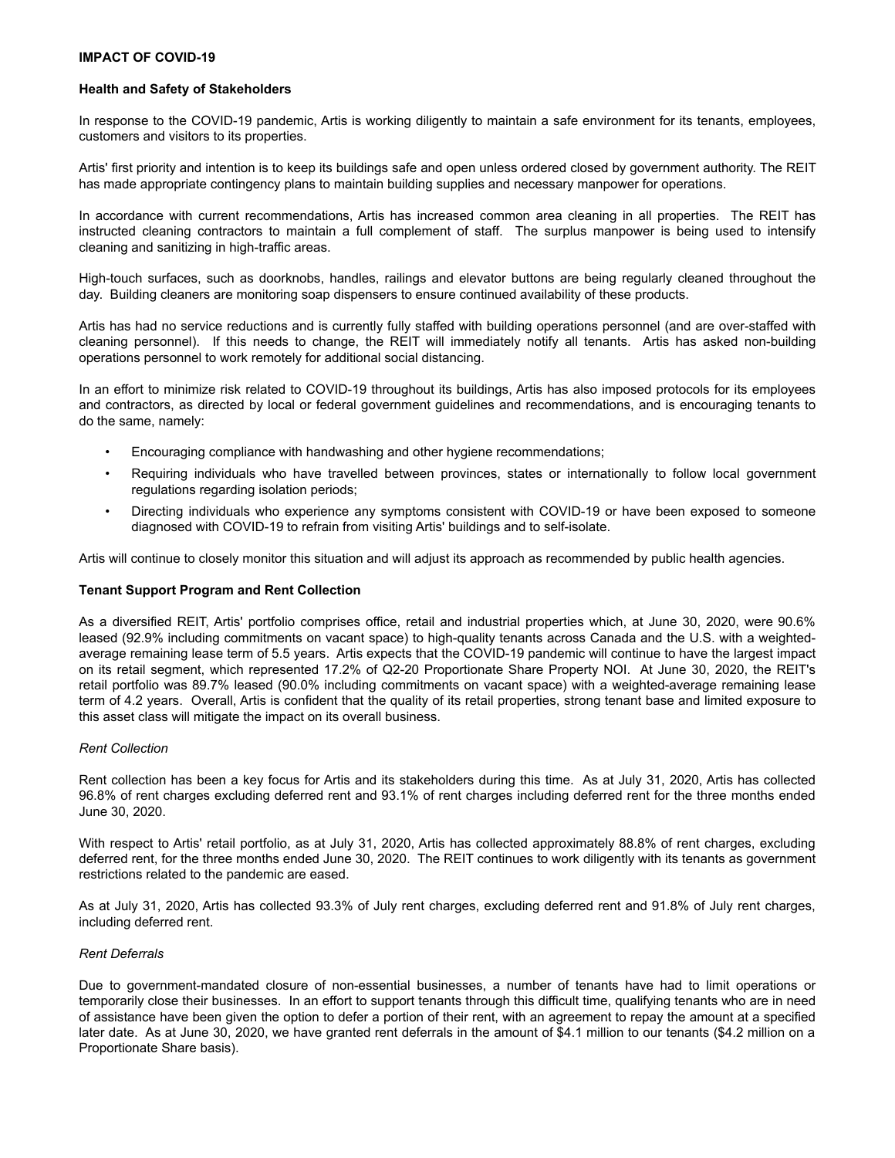## **IMPACT OF COVID-19**

### **Health and Safety of Stakeholders**

In response to the COVID-19 pandemic, Artis is working diligently to maintain a safe environment for its tenants, employees, customers and visitors to its properties.

Artis' first priority and intention is to keep its buildings safe and open unless ordered closed by government authority. The REIT has made appropriate contingency plans to maintain building supplies and necessary manpower for operations.

In accordance with current recommendations, Artis has increased common area cleaning in all properties. The REIT has instructed cleaning contractors to maintain a full complement of staff. The surplus manpower is being used to intensify cleaning and sanitizing in high-traffic areas.

High-touch surfaces, such as doorknobs, handles, railings and elevator buttons are being regularly cleaned throughout the day. Building cleaners are monitoring soap dispensers to ensure continued availability of these products.

Artis has had no service reductions and is currently fully staffed with building operations personnel (and are over-staffed with cleaning personnel). If this needs to change, the REIT will immediately notify all tenants. Artis has asked non-building operations personnel to work remotely for additional social distancing.

In an effort to minimize risk related to COVID-19 throughout its buildings, Artis has also imposed protocols for its employees and contractors, as directed by local or federal government guidelines and recommendations, and is encouraging tenants to do the same, namely:

- Encouraging compliance with handwashing and other hygiene recommendations;
- Requiring individuals who have travelled between provinces, states or internationally to follow local government regulations regarding isolation periods;
- Directing individuals who experience any symptoms consistent with COVID-19 or have been exposed to someone diagnosed with COVID-19 to refrain from visiting Artis' buildings and to self-isolate.

Artis will continue to closely monitor this situation and will adjust its approach as recommended by public health agencies.

# **Tenant Support Program and Rent Collection**

As a diversified REIT, Artis' portfolio comprises office, retail and industrial properties which, at June 30, 2020, were 90.6% leased (92.9% including commitments on vacant space) to high-quality tenants across Canada and the U.S. with a weightedaverage remaining lease term of 5.5 years. Artis expects that the COVID-19 pandemic will continue to have the largest impact on its retail segment, which represented 17.2% of Q2-20 Proportionate Share Property NOI. At June 30, 2020, the REIT's retail portfolio was 89.7% leased (90.0% including commitments on vacant space) with a weighted-average remaining lease term of 4.2 years. Overall, Artis is confident that the quality of its retail properties, strong tenant base and limited exposure to this asset class will mitigate the impact on its overall business.

# *Rent Collection*

Rent collection has been a key focus for Artis and its stakeholders during this time. As at July 31, 2020, Artis has collected 96.8% of rent charges excluding deferred rent and 93.1% of rent charges including deferred rent for the three months ended June 30, 2020.

With respect to Artis' retail portfolio, as at July 31, 2020, Artis has collected approximately 88.8% of rent charges, excluding deferred rent, for the three months ended June 30, 2020. The REIT continues to work diligently with its tenants as government restrictions related to the pandemic are eased.

As at July 31, 2020, Artis has collected 93.3% of July rent charges, excluding deferred rent and 91.8% of July rent charges, including deferred rent.

# *Rent Deferrals*

Due to government-mandated closure of non-essential businesses, a number of tenants have had to limit operations or temporarily close their businesses. In an effort to support tenants through this difficult time, qualifying tenants who are in need of assistance have been given the option to defer a portion of their rent, with an agreement to repay the amount at a specified later date. As at June 30, 2020, we have granted rent deferrals in the amount of \$4.1 million to our tenants (\$4.2 million on a Proportionate Share basis).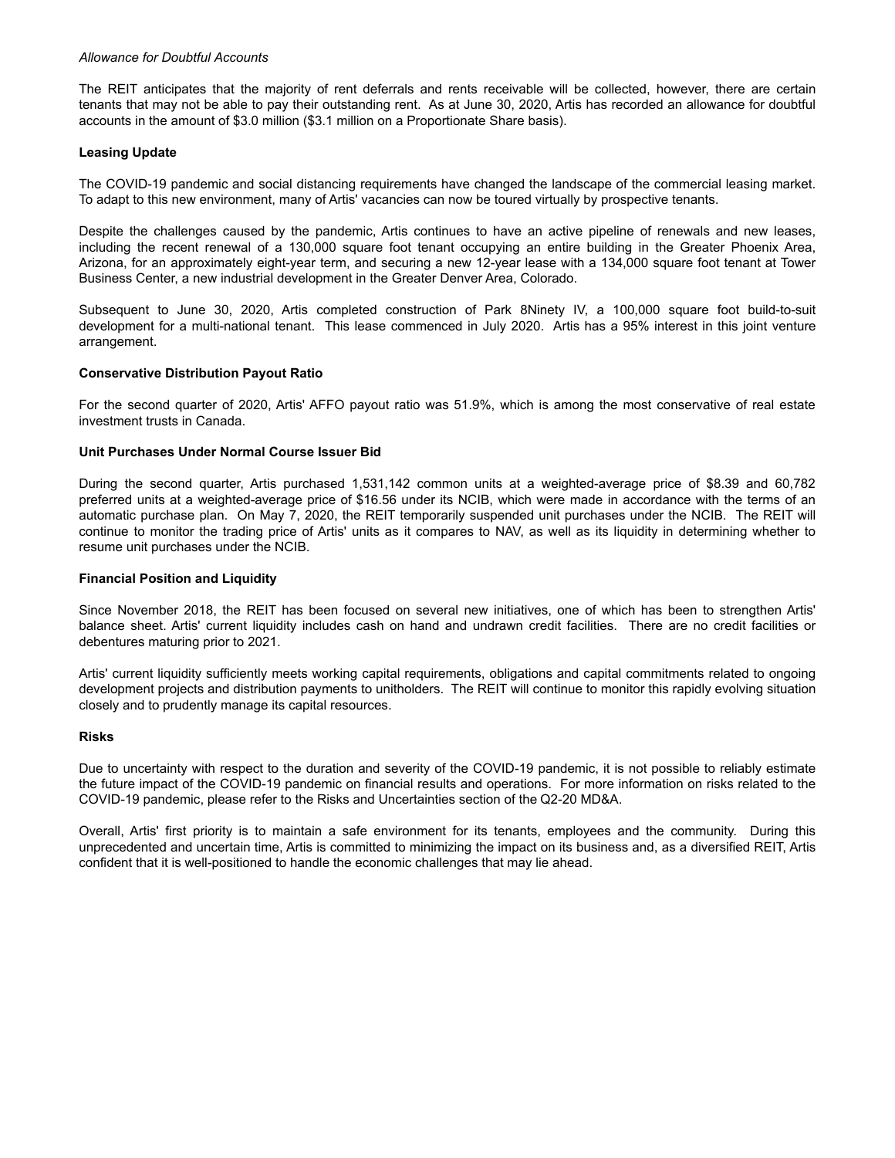### *Allowance for Doubtful Accounts*

The REIT anticipates that the majority of rent deferrals and rents receivable will be collected, however, there are certain tenants that may not be able to pay their outstanding rent. As at June 30, 2020, Artis has recorded an allowance for doubtful accounts in the amount of \$3.0 million (\$3.1 million on a Proportionate Share basis).

## **Leasing Update**

The COVID-19 pandemic and social distancing requirements have changed the landscape of the commercial leasing market. To adapt to this new environment, many of Artis' vacancies can now be toured virtually by prospective tenants.

Despite the challenges caused by the pandemic, Artis continues to have an active pipeline of renewals and new leases, including the recent renewal of a 130,000 square foot tenant occupying an entire building in the Greater Phoenix Area, Arizona, for an approximately eight-year term, and securing a new 12-year lease with a 134,000 square foot tenant at Tower Business Center, a new industrial development in the Greater Denver Area, Colorado.

Subsequent to June 30, 2020, Artis completed construction of Park 8Ninety IV, a 100,000 square foot build-to-suit development for a multi-national tenant. This lease commenced in July 2020. Artis has a 95% interest in this joint venture arrangement.

## **Conservative Distribution Payout Ratio**

For the second quarter of 2020, Artis' AFFO payout ratio was 51.9%, which is among the most conservative of real estate investment trusts in Canada.

## **Unit Purchases Under Normal Course Issuer Bid**

During the second quarter, Artis purchased 1,531,142 common units at a weighted-average price of \$8.39 and 60,782 preferred units at a weighted-average price of \$16.56 under its NCIB, which were made in accordance with the terms of an automatic purchase plan. On May 7, 2020, the REIT temporarily suspended unit purchases under the NCIB. The REIT will continue to monitor the trading price of Artis' units as it compares to NAV, as well as its liquidity in determining whether to resume unit purchases under the NCIB.

### **Financial Position and Liquidity**

Since November 2018, the REIT has been focused on several new initiatives, one of which has been to strengthen Artis' balance sheet. Artis' current liquidity includes cash on hand and undrawn credit facilities. There are no credit facilities or debentures maturing prior to 2021.

Artis' current liquidity sufficiently meets working capital requirements, obligations and capital commitments related to ongoing development projects and distribution payments to unitholders. The REIT will continue to monitor this rapidly evolving situation closely and to prudently manage its capital resources.

#### **Risks**

Due to uncertainty with respect to the duration and severity of the COVID-19 pandemic, it is not possible to reliably estimate the future impact of the COVID-19 pandemic on financial results and operations. For more information on risks related to the COVID-19 pandemic, please refer to the Risks and Uncertainties section of the Q2-20 MD&A.

Overall, Artis' first priority is to maintain a safe environment for its tenants, employees and the community. During this unprecedented and uncertain time, Artis is committed to minimizing the impact on its business and, as a diversified REIT, Artis confident that it is well-positioned to handle the economic challenges that may lie ahead.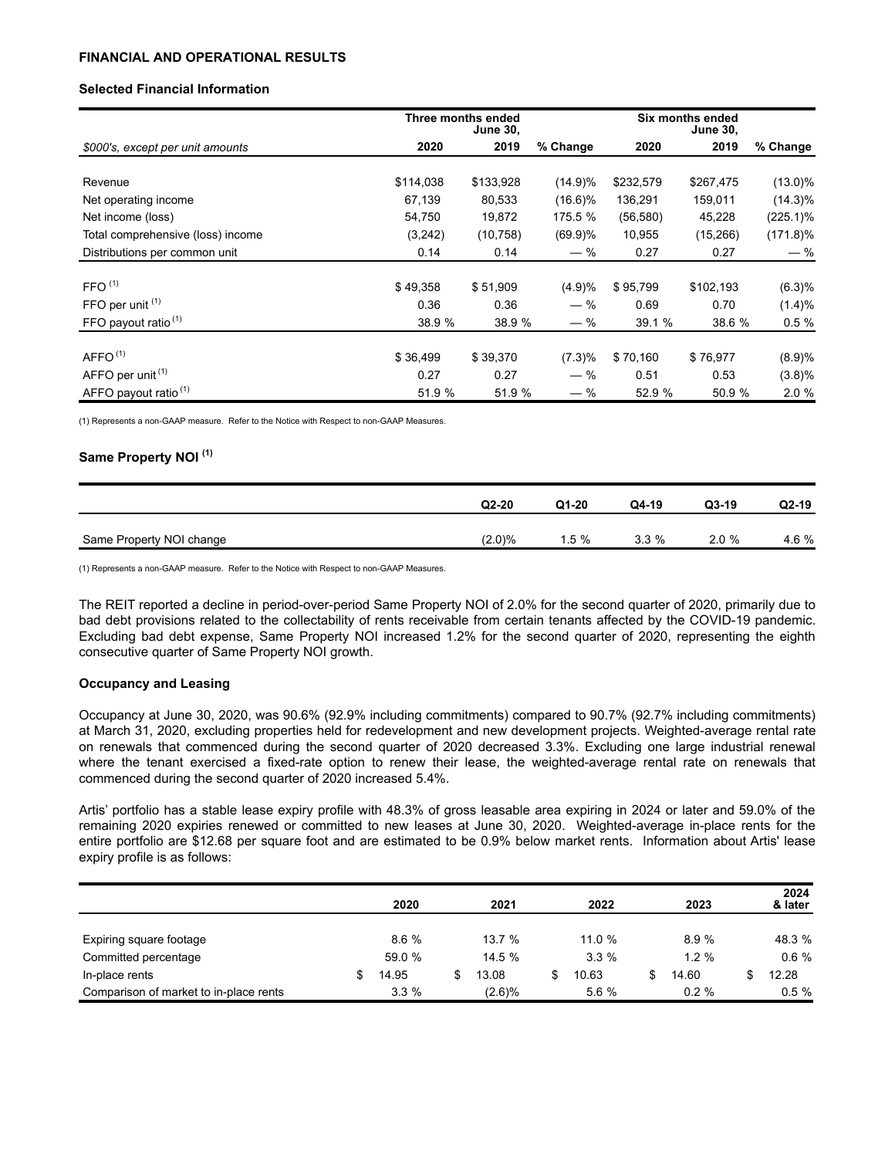## **FINANCIAL AND OPERATIONAL RESULTS**

## **Selected Financial Information**

|                                   | Three months ended |           | Six months ended<br><b>June 30,</b> |           |           |             |
|-----------------------------------|--------------------|-----------|-------------------------------------|-----------|-----------|-------------|
| \$000's, except per unit amounts  | 2020               | 2019      | % Change                            | 2020      | 2019      | % Change    |
|                                   |                    |           |                                     |           |           |             |
| Revenue                           | \$114,038          | \$133,928 | $(14.9)\%$                          | \$232,579 | \$267,475 | $(13.0)\%$  |
| Net operating income              | 67,139             | 80,533    | $(16.6)\%$                          | 136,291   | 159,011   | $(14.3)\%$  |
| Net income (loss)                 | 54,750             | 19,872    | 175.5 %                             | (56, 580) | 45,228    | $(225.1)\%$ |
| Total comprehensive (loss) income | (3,242)            | (10, 758) | $(69.9)\%$                          | 10,955    | (15, 266) | $(171.8)\%$ |
| Distributions per common unit     | 0.14               | 0.14      | $-$ %                               | 0.27      | 0.27      | $-$ %       |
|                                   |                    |           |                                     |           |           |             |
| FFO <sup>(1)</sup>                | \$49,358           | \$51,909  | (4.9)%                              | \$95,799  | \$102,193 | (6.3)%      |
| FFO per unit $(1)$                | 0.36               | 0.36      | $-$ %                               | 0.69      | 0.70      | (1.4)%      |
| FFO payout ratio $(1)$            | 38.9 %             | 38.9 %    | $-$ %                               | 39.1%     | 38.6 %    | 0.5%        |
| AFFO <sup>(1)</sup>               |                    |           |                                     |           |           |             |
|                                   | \$36,499           | \$39,370  | (7.3)%                              | \$70,160  | \$76,977  | (8.9)%      |
| AFFO per unit <sup>(1)</sup>      | 0.27               | 0.27      | $-$ %                               | 0.51      | 0.53      | (3.8)%      |
| AFFO payout ratio <sup>(1)</sup>  | 51.9 %             | 51.9 %    | $-$ %                               | 52.9 %    | 50.9 %    | 2.0%        |

(1) Represents a non-GAAP measure. Refer to the Notice with Respect to non-GAAP Measures.

# **Same Property NOI (1)**

|                          | $Q2-20$   | $Q1-20$ | Q4-19 | $Q3-19$ | $Q2-19$ |
|--------------------------|-----------|---------|-------|---------|---------|
| Same Property NOI change | $(2.0)\%$ | $1.5\%$ | 3.3%  | 2.0%    | 4.6 %   |

(1) Represents a non-GAAP measure. Refer to the Notice with Respect to non-GAAP Measures.

The REIT reported a decline in period-over-period Same Property NOI of 2.0% for the second quarter of 2020, primarily due to bad debt provisions related to the collectability of rents receivable from certain tenants affected by the COVID-19 pandemic. Excluding bad debt expense, Same Property NOI increased 1.2% for the second quarter of 2020, representing the eighth consecutive quarter of Same Property NOI growth.

#### **Occupancy and Leasing**

Occupancy at June 30, 2020, was 90.6% (92.9% including commitments) compared to 90.7% (92.7% including commitments) at March 31, 2020, excluding properties held for redevelopment and new development projects. Weighted-average rental rate on renewals that commenced during the second quarter of 2020 decreased 3.3%. Excluding one large industrial renewal where the tenant exercised a fixed-rate option to renew their lease, the weighted-average rental rate on renewals that commenced during the second quarter of 2020 increased 5.4%.

Artis' portfolio has a stable lease expiry profile with 48.3% of gross leasable area expiring in 2024 or later and 59.0% of the remaining 2020 expiries renewed or committed to new leases at June 30, 2020. Weighted-average in-place rents for the entire portfolio are \$12.68 per square foot and are estimated to be 0.9% below market rents. Information about Artis' lease expiry profile is as follows:

|                                        | 2020    | 2021      | 2022   | 2023        | 2024<br>& later |
|----------------------------------------|---------|-----------|--------|-------------|-----------------|
| Expiring square footage                | 8.6%    | 13.7 %    | 11.0 % | 8.9%        | 48.3 %          |
| Committed percentage                   | 59.0 %  | 14.5%     | 3.3%   | $1.2 \%$    | 0.6%            |
| In-place rents                         | 14.95   | 13.08     | 10.63  | \$<br>14.60 | 12.28           |
| Comparison of market to in-place rents | $3.3\%$ | $(2.6)\%$ | 5.6 %  | $0.2 \%$    | 0.5%            |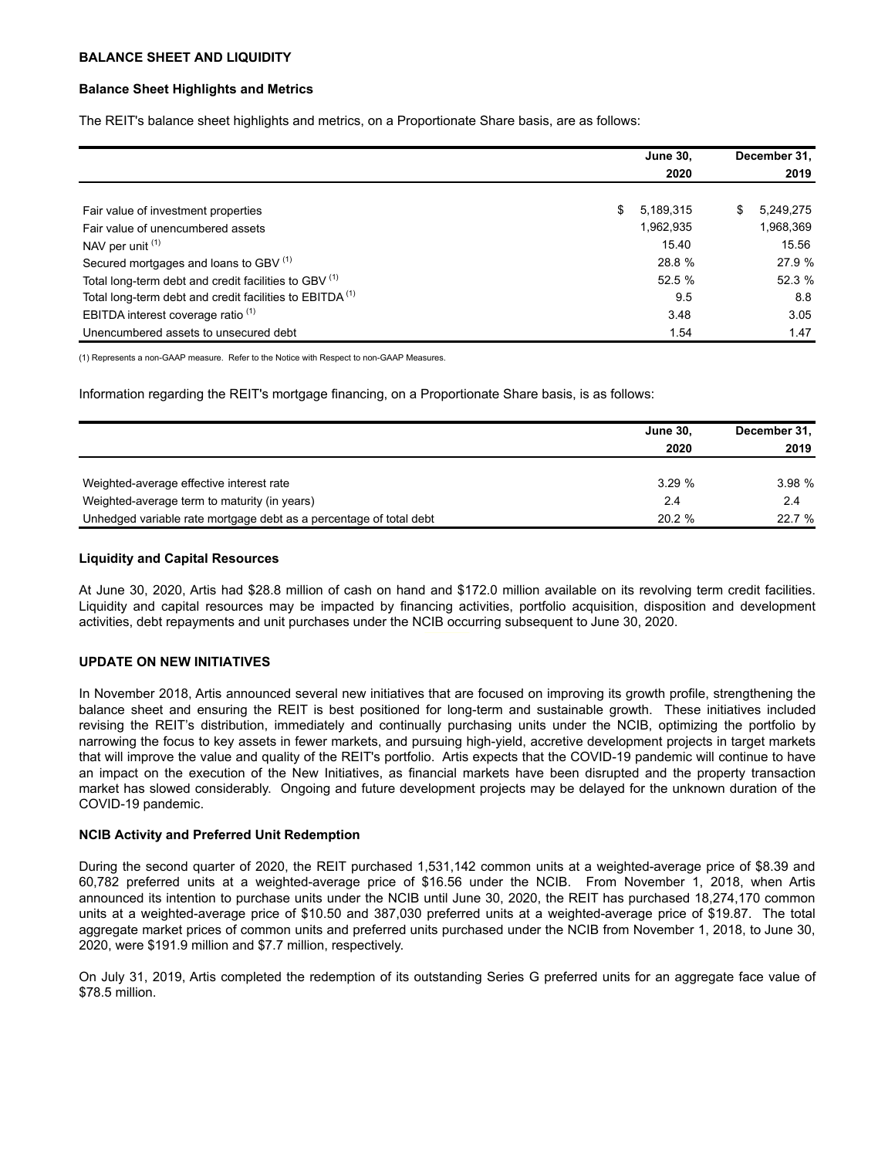## **BALANCE SHEET AND LIQUIDITY**

## **Balance Sheet Highlights and Metrics**

The REIT's balance sheet highlights and metrics, on a Proportionate Share basis, are as follows:

|                                                                     |    | <b>June 30,</b> | December 31, |           |
|---------------------------------------------------------------------|----|-----------------|--------------|-----------|
|                                                                     |    | 2020            |              | 2019      |
|                                                                     |    |                 |              |           |
| Fair value of investment properties                                 | S. | 5,189,315       | \$           | 5,249,275 |
| Fair value of unencumbered assets                                   |    | 1,962,935       |              | 1,968,369 |
| NAV per unit (1)                                                    |    | 15.40           |              | 15.56     |
| Secured mortgages and loans to GBV <sup>(1)</sup>                   |    | 28.8 %          |              | 27.9 %    |
| Total long-term debt and credit facilities to GBV (1)               |    | 52.5 %          |              | 52.3 %    |
| Total long-term debt and credit facilities to EBITDA <sup>(1)</sup> |    | 9.5             |              | 8.8       |
| EBITDA interest coverage ratio <sup>(1)</sup>                       |    | 3.48            |              | 3.05      |
| Unencumbered assets to unsecured debt                               |    | 1.54            |              | 1.47      |

(1) Represents a non-GAAP measure. Refer to the Notice with Respect to non-GAAP Measures.

Information regarding the REIT's mortgage financing, on a Proportionate Share basis, is as follows:

|                                                                    | <b>June 30.</b> | December 31, |  |
|--------------------------------------------------------------------|-----------------|--------------|--|
|                                                                    | 2020            | 2019         |  |
|                                                                    |                 |              |  |
| Weighted-average effective interest rate                           | 3.29%           | 3.98%        |  |
| Weighted-average term to maturity (in years)                       | 2.4             | 2.4          |  |
| Unhedged variable rate mortgage debt as a percentage of total debt | 20.2%           | 22.7%        |  |

## **Liquidity and Capital Resources**

At June 30, 2020, Artis had \$28.8 million of cash on hand and \$172.0 million available on its revolving term credit facilities. Liquidity and capital resources may be impacted by financing activities, portfolio acquisition, disposition and development activities, debt repayments and unit purchases under the NCIB occurring subsequent to June 30, 2020.

# **UPDATE ON NEW INITIATIVES**

In November 2018, Artis announced several new initiatives that are focused on improving its growth profile, strengthening the balance sheet and ensuring the REIT is best positioned for long-term and sustainable growth. These initiatives included revising the REIT's distribution, immediately and continually purchasing units under the NCIB, optimizing the portfolio by narrowing the focus to key assets in fewer markets, and pursuing high-yield, accretive development projects in target markets that will improve the value and quality of the REIT's portfolio. Artis expects that the COVID-19 pandemic will continue to have an impact on the execution of the New Initiatives, as financial markets have been disrupted and the property transaction market has slowed considerably. Ongoing and future development projects may be delayed for the unknown duration of the COVID-19 pandemic.

#### **NCIB Activity and Preferred Unit Redemption**

During the second quarter of 2020, the REIT purchased 1,531,142 common units at a weighted-average price of \$8.39 and 60,782 preferred units at a weighted-average price of \$16.56 under the NCIB. From November 1, 2018, when Artis announced its intention to purchase units under the NCIB until June 30, 2020, the REIT has purchased 18,274,170 common units at a weighted-average price of \$10.50 and 387,030 preferred units at a weighted-average price of \$19.87. The total aggregate market prices of common units and preferred units purchased under the NCIB from November 1, 2018, to June 30, 2020, were \$191.9 million and \$7.7 million, respectively.

On July 31, 2019, Artis completed the redemption of its outstanding Series G preferred units for an aggregate face value of \$78.5 million.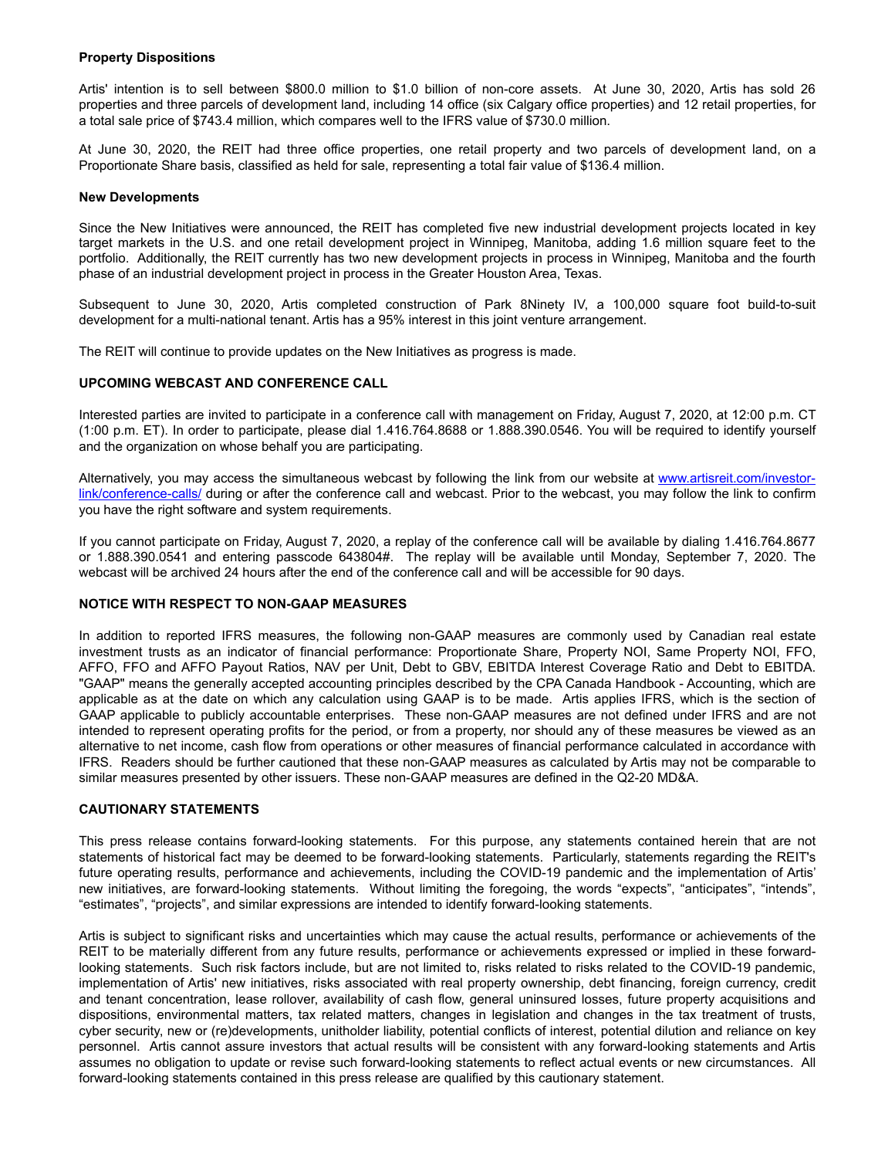# **Property Dispositions**

Artis' intention is to sell between \$800.0 million to \$1.0 billion of non-core assets. At June 30, 2020, Artis has sold 26 properties and three parcels of development land, including 14 office (six Calgary office properties) and 12 retail properties, for a total sale price of \$743.4 million, which compares well to the IFRS value of \$730.0 million.

At June 30, 2020, the REIT had three office properties, one retail property and two parcels of development land, on a Proportionate Share basis, classified as held for sale, representing a total fair value of \$136.4 million.

#### **New Developments**

Since the New Initiatives were announced, the REIT has completed five new industrial development projects located in key target markets in the U.S. and one retail development project in Winnipeg, Manitoba, adding 1.6 million square feet to the portfolio. Additionally, the REIT currently has two new development projects in process in Winnipeg, Manitoba and the fourth phase of an industrial development project in process in the Greater Houston Area, Texas.

Subsequent to June 30, 2020, Artis completed construction of Park 8Ninety IV, a 100,000 square foot build-to-suit development for a multi-national tenant. Artis has a 95% interest in this joint venture arrangement.

The REIT will continue to provide updates on the New Initiatives as progress is made.

#### **UPCOMING WEBCAST AND CONFERENCE CALL**

Interested parties are invited to participate in a conference call with management on Friday, August 7, 2020, at 12:00 p.m. CT (1:00 p.m. ET). In order to participate, please dial 1.416.764.8688 or 1.888.390.0546. You will be required to identify yourself and the organization on whose behalf you are participating.

Alternatively, you may access the simultaneous webcast by following the link from our website at [www.artisreit.com/investor](http://www.artisreit.com/investor-link/conference-calls/)[link/conference-calls/](http://www.artisreit.com/investor-link/conference-calls/) during or after the conference call and webcast. Prior to the webcast, you may follow the link to confirm you have the right software and system requirements.

If you cannot participate on Friday, August 7, 2020, a replay of the conference call will be available by dialing 1.416.764.8677 or 1.888.390.0541 and entering passcode 643804#. The replay will be available until Monday, September 7, 2020. The webcast will be archived 24 hours after the end of the conference call and will be accessible for 90 days.

# **NOTICE WITH RESPECT TO NON-GAAP MEASURES**

In addition to reported IFRS measures, the following non-GAAP measures are commonly used by Canadian real estate investment trusts as an indicator of financial performance: Proportionate Share, Property NOI, Same Property NOI, FFO, AFFO, FFO and AFFO Payout Ratios, NAV per Unit, Debt to GBV, EBITDA Interest Coverage Ratio and Debt to EBITDA. "GAAP" means the generally accepted accounting principles described by the CPA Canada Handbook - Accounting, which are applicable as at the date on which any calculation using GAAP is to be made. Artis applies IFRS, which is the section of GAAP applicable to publicly accountable enterprises. These non-GAAP measures are not defined under IFRS and are not intended to represent operating profits for the period, or from a property, nor should any of these measures be viewed as an alternative to net income, cash flow from operations or other measures of financial performance calculated in accordance with IFRS. Readers should be further cautioned that these non-GAAP measures as calculated by Artis may not be comparable to similar measures presented by other issuers. These non-GAAP measures are defined in the Q2-20 MD&A.

#### **CAUTIONARY STATEMENTS**

This press release contains forward-looking statements. For this purpose, any statements contained herein that are not statements of historical fact may be deemed to be forward-looking statements. Particularly, statements regarding the REIT's future operating results, performance and achievements, including the COVID-19 pandemic and the implementation of Artis' new initiatives, are forward-looking statements. Without limiting the foregoing, the words "expects", "anticipates", "intends", "estimates", "projects", and similar expressions are intended to identify forward-looking statements.

Artis is subject to significant risks and uncertainties which may cause the actual results, performance or achievements of the REIT to be materially different from any future results, performance or achievements expressed or implied in these forwardlooking statements. Such risk factors include, but are not limited to, risks related to risks related to the COVID-19 pandemic, implementation of Artis' new initiatives, risks associated with real property ownership, debt financing, foreign currency, credit and tenant concentration, lease rollover, availability of cash flow, general uninsured losses, future property acquisitions and dispositions, environmental matters, tax related matters, changes in legislation and changes in the tax treatment of trusts, cyber security, new or (re)developments, unitholder liability, potential conflicts of interest, potential dilution and reliance on key personnel. Artis cannot assure investors that actual results will be consistent with any forward-looking statements and Artis assumes no obligation to update or revise such forward-looking statements to reflect actual events or new circumstances. All forward-looking statements contained in this press release are qualified by this cautionary statement.